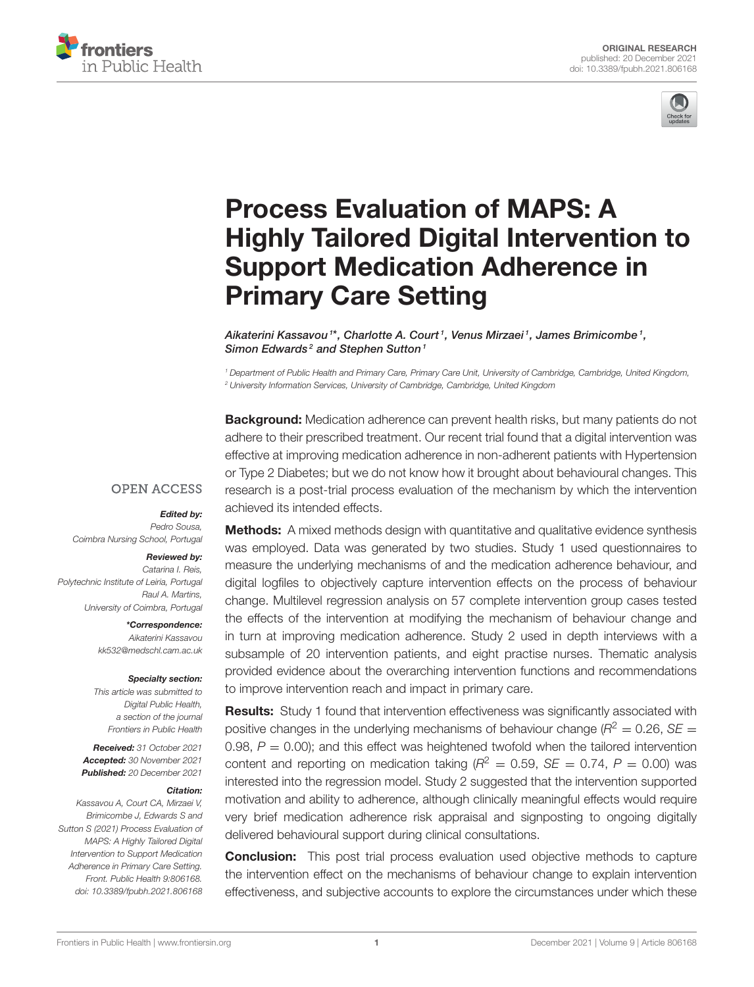



# Process Evaluation of MAPS: A [Highly Tailored Digital Intervention to](https://www.frontiersin.org/articles/10.3389/fpubh.2021.806168/full) Support Medication Adherence in Primary Care Setting

Aikaterini Kassavou 1\*, Charlotte A. Court 1, Venus Mirzaei 1, James Brimicombe 1, Simon Edwards<sup>2</sup> and Stephen Sutton<sup>1</sup>

*<sup>1</sup> Department of Public Health and Primary Care, Primary Care Unit, University of Cambridge, Cambridge, United Kingdom, <sup>2</sup> University Information Services, University of Cambridge, Cambridge, United Kingdom*

**Background:** Medication adherence can prevent health risks, but many patients do not adhere to their prescribed treatment. Our recent trial found that a digital intervention was effective at improving medication adherence in non-adherent patients with Hypertension or Type 2 Diabetes; but we do not know how it brought about behavioural changes. This research is a post-trial process evaluation of the mechanism by which the intervention achieved its intended effects.

### **OPEN ACCESS**

#### Edited by:

*Pedro Sousa, Coimbra Nursing School, Portugal*

#### Reviewed by:

*Catarina I. Reis, Polytechnic Institute of Leiria, Portugal Raul A. Martins, University of Coimbra, Portugal*

> \*Correspondence: *Aikaterini Kassavou [kk532@medschl.cam.ac.uk](mailto:kk532@medschl.cam.ac.uk)*

#### Specialty section:

*This article was submitted to Digital Public Health, a section of the journal Frontiers in Public Health*

Received: *31 October 2021* Accepted: *30 November 2021* Published: *20 December 2021*

#### Citation:

*Kassavou A, Court CA, Mirzaei V, Brimicombe J, Edwards S and Sutton S (2021) Process Evaluation of MAPS: A Highly Tailored Digital Intervention to Support Medication Adherence in Primary Care Setting. Front. Public Health 9:806168. doi: [10.3389/fpubh.2021.806168](https://doi.org/10.3389/fpubh.2021.806168)*

Methods: A mixed methods design with quantitative and qualitative evidence synthesis was employed. Data was generated by two studies. Study 1 used questionnaires to measure the underlying mechanisms of and the medication adherence behaviour, and digital logfiles to objectively capture intervention effects on the process of behaviour change. Multilevel regression analysis on 57 complete intervention group cases tested the effects of the intervention at modifying the mechanism of behaviour change and in turn at improving medication adherence. Study 2 used in depth interviews with a subsample of 20 intervention patients, and eight practise nurses. Thematic analysis provided evidence about the overarching intervention functions and recommendations to improve intervention reach and impact in primary care.

Results: Study 1 found that intervention effectiveness was significantly associated with positive changes in the underlying mechanisms of behaviour change ( $R^2 = 0.26$ ,  $SE =$ 0.98,  $P = 0.00$ ); and this effect was heightened twofold when the tailored intervention content and reporting on medication taking  $(R^2 = 0.59, SE = 0.74, P = 0.00)$  was interested into the regression model. Study 2 suggested that the intervention supported motivation and ability to adherence, although clinically meaningful effects would require very brief medication adherence risk appraisal and signposting to ongoing digitally delivered behavioural support during clinical consultations.

**Conclusion:** This post trial process evaluation used objective methods to capture the intervention effect on the mechanisms of behaviour change to explain intervention effectiveness, and subjective accounts to explore the circumstances under which these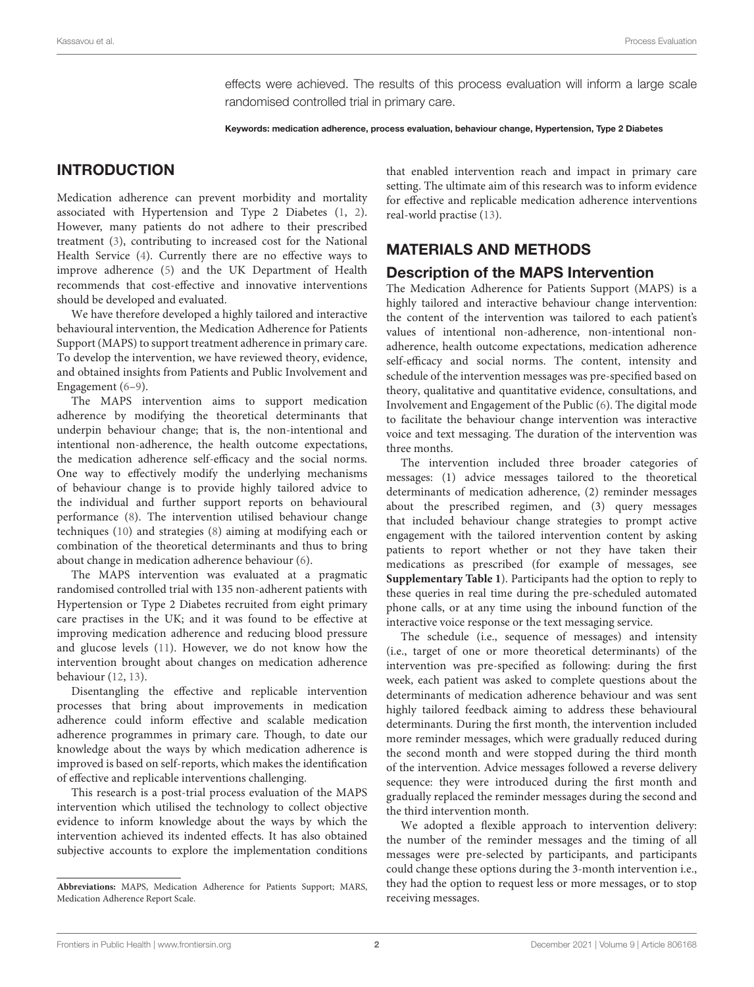effects were achieved. The results of this process evaluation will inform a large scale randomised controlled trial in primary care.

Keywords: medication adherence, process evaluation, behaviour change, Hypertension, Type 2 Diabetes

### INTRODUCTION

Medication adherence can prevent morbidity and mortality associated with Hypertension and Type 2 Diabetes [\(1,](#page-9-0) [2\)](#page-9-1). However, many patients do not adhere to their prescribed treatment [\(3\)](#page-9-2), contributing to increased cost for the National Health Service [\(4\)](#page-9-3). Currently there are no effective ways to improve adherence [\(5\)](#page-9-4) and the UK Department of Health recommends that cost-effective and innovative interventions should be developed and evaluated.

We have therefore developed a highly tailored and interactive behavioural intervention, the Medication Adherence for Patients Support (MAPS) to support treatment adherence in primary care. To develop the intervention, we have reviewed theory, evidence, and obtained insights from Patients and Public Involvement and Engagement [\(6](#page-9-5)[–9\)](#page-9-6).

The MAPS intervention aims to support medication adherence by modifying the theoretical determinants that underpin behaviour change; that is, the non-intentional and intentional non-adherence, the health outcome expectations, the medication adherence self-efficacy and the social norms. One way to effectively modify the underlying mechanisms of behaviour change is to provide highly tailored advice to the individual and further support reports on behavioural performance [\(8\)](#page-9-7). The intervention utilised behaviour change techniques [\(10\)](#page-9-8) and strategies [\(8\)](#page-9-7) aiming at modifying each or combination of the theoretical determinants and thus to bring about change in medication adherence behaviour [\(6\)](#page-9-5).

The MAPS intervention was evaluated at a pragmatic randomised controlled trial with 135 non-adherent patients with Hypertension or Type 2 Diabetes recruited from eight primary care practises in the UK; and it was found to be effective at improving medication adherence and reducing blood pressure and glucose levels [\(11\)](#page-9-9). However, we do not know how the intervention brought about changes on medication adherence behaviour [\(12,](#page-9-10) [13\)](#page-9-11).

Disentangling the effective and replicable intervention processes that bring about improvements in medication adherence could inform effective and scalable medication adherence programmes in primary care. Though, to date our knowledge about the ways by which medication adherence is improved is based on self-reports, which makes the identification of effective and replicable interventions challenging.

This research is a post-trial process evaluation of the MAPS intervention which utilised the technology to collect objective evidence to inform knowledge about the ways by which the intervention achieved its indented effects. It has also obtained subjective accounts to explore the implementation conditions that enabled intervention reach and impact in primary care setting. The ultimate aim of this research was to inform evidence for effective and replicable medication adherence interventions real-world practise [\(13\)](#page-9-11).

### MATERIALS AND METHODS

### Description of the MAPS Intervention

The Medication Adherence for Patients Support (MAPS) is a highly tailored and interactive behaviour change intervention: the content of the intervention was tailored to each patient's values of intentional non-adherence, non-intentional nonadherence, health outcome expectations, medication adherence self-efficacy and social norms. The content, intensity and schedule of the intervention messages was pre-specified based on theory, qualitative and quantitative evidence, consultations, and Involvement and Engagement of the Public [\(6\)](#page-9-5). The digital mode to facilitate the behaviour change intervention was interactive voice and text messaging. The duration of the intervention was three months.

The intervention included three broader categories of messages: (1) advice messages tailored to the theoretical determinants of medication adherence, (2) reminder messages about the prescribed regimen, and (3) query messages that included behaviour change strategies to prompt active engagement with the tailored intervention content by asking patients to report whether or not they have taken their medications as prescribed (for example of messages, see **[Supplementary Table 1](#page-8-0)**). Participants had the option to reply to these queries in real time during the pre-scheduled automated phone calls, or at any time using the inbound function of the interactive voice response or the text messaging service.

The schedule (i.e., sequence of messages) and intensity (i.e., target of one or more theoretical determinants) of the intervention was pre-specified as following: during the first week, each patient was asked to complete questions about the determinants of medication adherence behaviour and was sent highly tailored feedback aiming to address these behavioural determinants. During the first month, the intervention included more reminder messages, which were gradually reduced during the second month and were stopped during the third month of the intervention. Advice messages followed a reverse delivery sequence: they were introduced during the first month and gradually replaced the reminder messages during the second and the third intervention month.

We adopted a flexible approach to intervention delivery: the number of the reminder messages and the timing of all messages were pre-selected by participants, and participants could change these options during the 3-month intervention i.e., they had the option to request less or more messages, or to stop receiving messages.

**Abbreviations:** MAPS, Medication Adherence for Patients Support; MARS, Medication Adherence Report Scale.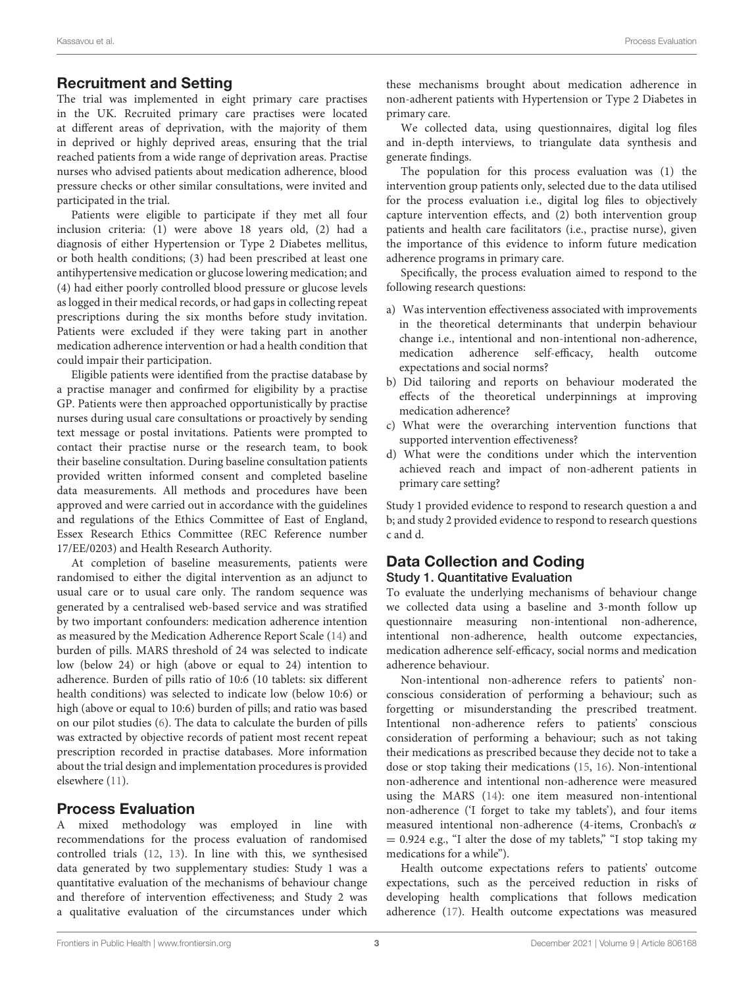### Recruitment and Setting

The trial was implemented in eight primary care practises in the UK. Recruited primary care practises were located at different areas of deprivation, with the majority of them in deprived or highly deprived areas, ensuring that the trial reached patients from a wide range of deprivation areas. Practise nurses who advised patients about medication adherence, blood pressure checks or other similar consultations, were invited and participated in the trial.

Patients were eligible to participate if they met all four inclusion criteria: (1) were above 18 years old, (2) had a diagnosis of either Hypertension or Type 2 Diabetes mellitus, or both health conditions; (3) had been prescribed at least one antihypertensive medication or glucose lowering medication; and (4) had either poorly controlled blood pressure or glucose levels as logged in their medical records, or had gaps in collecting repeat prescriptions during the six months before study invitation. Patients were excluded if they were taking part in another medication adherence intervention or had a health condition that could impair their participation.

Eligible patients were identified from the practise database by a practise manager and confirmed for eligibility by a practise GP. Patients were then approached opportunistically by practise nurses during usual care consultations or proactively by sending text message or postal invitations. Patients were prompted to contact their practise nurse or the research team, to book their baseline consultation. During baseline consultation patients provided written informed consent and completed baseline data measurements. All methods and procedures have been approved and were carried out in accordance with the guidelines and regulations of the Ethics Committee of East of England, Essex Research Ethics Committee (REC Reference number 17/EE/0203) and Health Research Authority.

At completion of baseline measurements, patients were randomised to either the digital intervention as an adjunct to usual care or to usual care only. The random sequence was generated by a centralised web-based service and was stratified by two important confounders: medication adherence intention as measured by the Medication Adherence Report Scale [\(14\)](#page-9-12) and burden of pills. MARS threshold of 24 was selected to indicate low (below 24) or high (above or equal to 24) intention to adherence. Burden of pills ratio of 10:6 (10 tablets: six different health conditions) was selected to indicate low (below 10:6) or high (above or equal to 10:6) burden of pills; and ratio was based on our pilot studies [\(6\)](#page-9-5). The data to calculate the burden of pills was extracted by objective records of patient most recent repeat prescription recorded in practise databases. More information about the trial design and implementation procedures is provided elsewhere [\(11\)](#page-9-9).

### Process Evaluation

A mixed methodology was employed in line with recommendations for the process evaluation of randomised controlled trials [\(12,](#page-9-10) [13\)](#page-9-11). In line with this, we synthesised data generated by two supplementary studies: Study 1 was a quantitative evaluation of the mechanisms of behaviour change and therefore of intervention effectiveness; and Study 2 was a qualitative evaluation of the circumstances under which these mechanisms brought about medication adherence in non-adherent patients with Hypertension or Type 2 Diabetes in primary care.

We collected data, using questionnaires, digital log files and in-depth interviews, to triangulate data synthesis and generate findings.

The population for this process evaluation was (1) the intervention group patients only, selected due to the data utilised for the process evaluation i.e., digital log files to objectively capture intervention effects, and (2) both intervention group patients and health care facilitators (i.e., practise nurse), given the importance of this evidence to inform future medication adherence programs in primary care.

Specifically, the process evaluation aimed to respond to the following research questions:

- a) Was intervention effectiveness associated with improvements in the theoretical determinants that underpin behaviour change i.e., intentional and non-intentional non-adherence, medication adherence self-efficacy, health outcome expectations and social norms?
- b) Did tailoring and reports on behaviour moderated the effects of the theoretical underpinnings at improving medication adherence?
- c) What were the overarching intervention functions that supported intervention effectiveness?
- d) What were the conditions under which the intervention achieved reach and impact of non-adherent patients in primary care setting?

Study 1 provided evidence to respond to research question a and b; and study 2 provided evidence to respond to research questions c and d.

### Data Collection and Coding Study 1. Quantitative Evaluation

To evaluate the underlying mechanisms of behaviour change we collected data using a baseline and 3-month follow up questionnaire measuring non-intentional non-adherence, intentional non-adherence, health outcome expectancies, medication adherence self-efficacy, social norms and medication adherence behaviour.

Non-intentional non-adherence refers to patients' nonconscious consideration of performing a behaviour; such as forgetting or misunderstanding the prescribed treatment. Intentional non-adherence refers to patients' conscious consideration of performing a behaviour; such as not taking their medications as prescribed because they decide not to take a dose or stop taking their medications [\(15,](#page-9-13) [16\)](#page-9-14). Non-intentional non-adherence and intentional non-adherence were measured using the MARS [\(14\)](#page-9-12): one item measured non-intentional non-adherence ('I forget to take my tablets'), and four items measured intentional non-adherence (4-items, Cronbach's α  $= 0.924$  e.g., "I alter the dose of my tablets," "I stop taking my medications for a while").

Health outcome expectations refers to patients' outcome expectations, such as the perceived reduction in risks of developing health complications that follows medication adherence [\(17\)](#page-9-15). Health outcome expectations was measured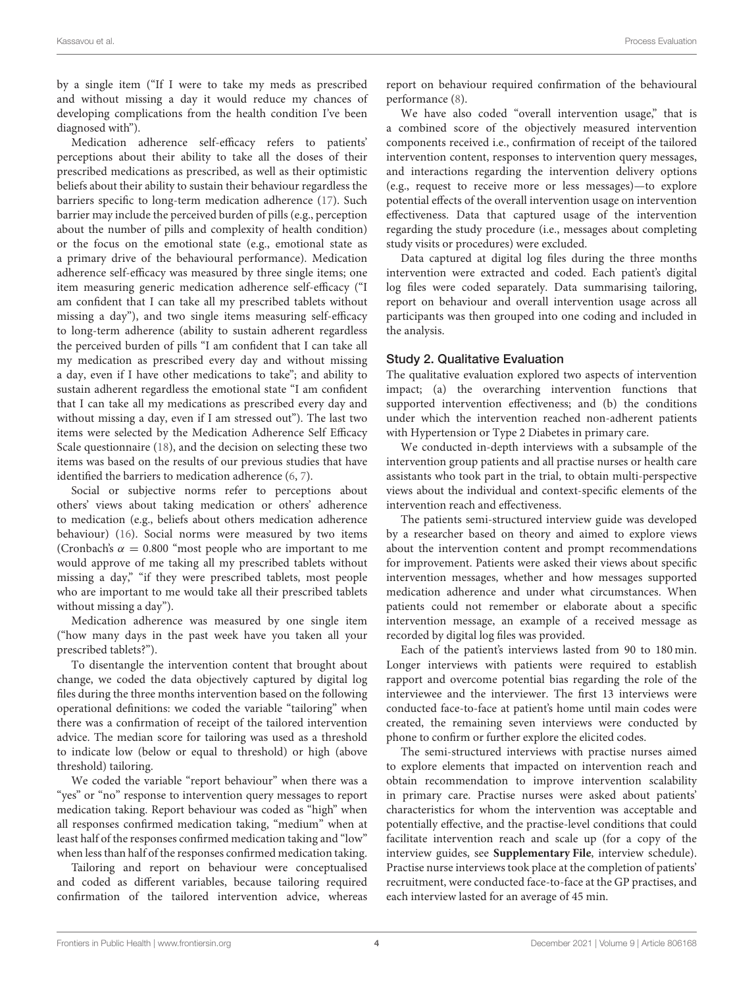by a single item ("If I were to take my meds as prescribed and without missing a day it would reduce my chances of developing complications from the health condition I've been diagnosed with").

Medication adherence self-efficacy refers to patients' perceptions about their ability to take all the doses of their prescribed medications as prescribed, as well as their optimistic beliefs about their ability to sustain their behaviour regardless the barriers specific to long-term medication adherence [\(17\)](#page-9-15). Such barrier may include the perceived burden of pills (e.g., perception about the number of pills and complexity of health condition) or the focus on the emotional state (e.g., emotional state as a primary drive of the behavioural performance). Medication adherence self-efficacy was measured by three single items; one item measuring generic medication adherence self-efficacy ("I am confident that I can take all my prescribed tablets without missing a day"), and two single items measuring self-efficacy to long-term adherence (ability to sustain adherent regardless the perceived burden of pills "I am confident that I can take all my medication as prescribed every day and without missing a day, even if I have other medications to take"; and ability to sustain adherent regardless the emotional state "I am confident that I can take all my medications as prescribed every day and without missing a day, even if I am stressed out"). The last two items were selected by the Medication Adherence Self Efficacy Scale questionnaire [\(18\)](#page-9-16), and the decision on selecting these two items was based on the results of our previous studies that have identified the barriers to medication adherence [\(6,](#page-9-5) [7\)](#page-9-17).

Social or subjective norms refer to perceptions about others' views about taking medication or others' adherence to medication (e.g., beliefs about others medication adherence behaviour) [\(16\)](#page-9-14). Social norms were measured by two items (Cronbach's  $\alpha = 0.800$  "most people who are important to me would approve of me taking all my prescribed tablets without missing a day," "if they were prescribed tablets, most people who are important to me would take all their prescribed tablets without missing a day").

Medication adherence was measured by one single item ("how many days in the past week have you taken all your prescribed tablets?").

To disentangle the intervention content that brought about change, we coded the data objectively captured by digital log files during the three months intervention based on the following operational definitions: we coded the variable "tailoring" when there was a confirmation of receipt of the tailored intervention advice. The median score for tailoring was used as a threshold to indicate low (below or equal to threshold) or high (above threshold) tailoring.

We coded the variable "report behaviour" when there was a "yes" or "no" response to intervention query messages to report medication taking. Report behaviour was coded as "high" when all responses confirmed medication taking, "medium" when at least half of the responses confirmed medication taking and "low" when less than half of the responses confirmed medication taking.

Tailoring and report on behaviour were conceptualised and coded as different variables, because tailoring required confirmation of the tailored intervention advice, whereas report on behaviour required confirmation of the behavioural performance [\(8\)](#page-9-7).

We have also coded "overall intervention usage," that is a combined score of the objectively measured intervention components received i.e., confirmation of receipt of the tailored intervention content, responses to intervention query messages, and interactions regarding the intervention delivery options (e.g., request to receive more or less messages)—to explore potential effects of the overall intervention usage on intervention effectiveness. Data that captured usage of the intervention regarding the study procedure (i.e., messages about completing study visits or procedures) were excluded.

Data captured at digital log files during the three months intervention were extracted and coded. Each patient's digital log files were coded separately. Data summarising tailoring, report on behaviour and overall intervention usage across all participants was then grouped into one coding and included in the analysis.

#### Study 2. Qualitative Evaluation

The qualitative evaluation explored two aspects of intervention impact; (a) the overarching intervention functions that supported intervention effectiveness; and (b) the conditions under which the intervention reached non-adherent patients with Hypertension or Type 2 Diabetes in primary care.

We conducted in-depth interviews with a subsample of the intervention group patients and all practise nurses or health care assistants who took part in the trial, to obtain multi-perspective views about the individual and context-specific elements of the intervention reach and effectiveness.

The patients semi-structured interview guide was developed by a researcher based on theory and aimed to explore views about the intervention content and prompt recommendations for improvement. Patients were asked their views about specific intervention messages, whether and how messages supported medication adherence and under what circumstances. When patients could not remember or elaborate about a specific intervention message, an example of a received message as recorded by digital log files was provided.

Each of the patient's interviews lasted from 90 to 180 min. Longer interviews with patients were required to establish rapport and overcome potential bias regarding the role of the interviewee and the interviewer. The first 13 interviews were conducted face-to-face at patient's home until main codes were created, the remaining seven interviews were conducted by phone to confirm or further explore the elicited codes.

The semi-structured interviews with practise nurses aimed to explore elements that impacted on intervention reach and obtain recommendation to improve intervention scalability in primary care. Practise nurses were asked about patients' characteristics for whom the intervention was acceptable and potentially effective, and the practise-level conditions that could facilitate intervention reach and scale up (for a copy of the interview guides, see **[Supplementary File](#page-8-0)**, interview schedule). Practise nurse interviews took place at the completion of patients' recruitment, were conducted face-to-face at the GP practises, and each interview lasted for an average of 45 min.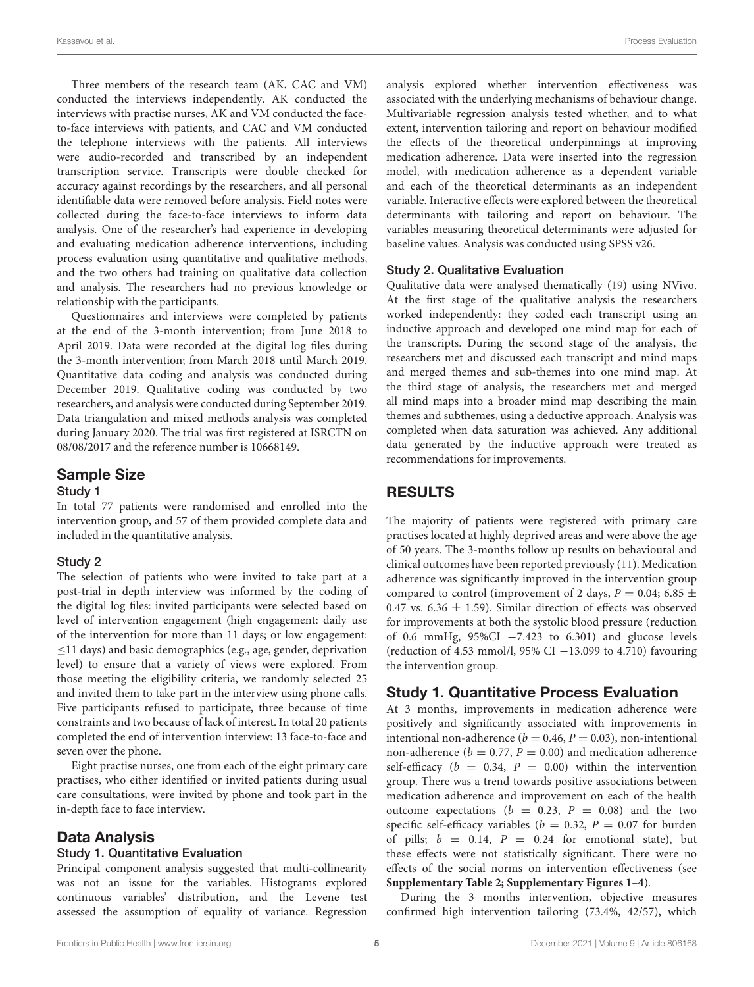Three members of the research team (AK, CAC and VM) conducted the interviews independently. AK conducted the interviews with practise nurses, AK and VM conducted the faceto-face interviews with patients, and CAC and VM conducted the telephone interviews with the patients. All interviews were audio-recorded and transcribed by an independent transcription service. Transcripts were double checked for accuracy against recordings by the researchers, and all personal identifiable data were removed before analysis. Field notes were collected during the face-to-face interviews to inform data analysis. One of the researcher's had experience in developing and evaluating medication adherence interventions, including process evaluation using quantitative and qualitative methods, and the two others had training on qualitative data collection and analysis. The researchers had no previous knowledge or relationship with the participants.

Questionnaires and interviews were completed by patients at the end of the 3-month intervention; from June 2018 to April 2019. Data were recorded at the digital log files during the 3-month intervention; from March 2018 until March 2019. Quantitative data coding and analysis was conducted during December 2019. Qualitative coding was conducted by two researchers, and analysis were conducted during September 2019. Data triangulation and mixed methods analysis was completed during January 2020. The trial was first registered at ISRCTN on 08/08/2017 and the reference number is 10668149.

#### Sample Size

#### Study 1

In total 77 patients were randomised and enrolled into the intervention group, and 57 of them provided complete data and included in the quantitative analysis.

#### Study 2

The selection of patients who were invited to take part at a post-trial in depth interview was informed by the coding of the digital log files: invited participants were selected based on level of intervention engagement (high engagement: daily use of the intervention for more than 11 days; or low engagement: ≤11 days) and basic demographics (e.g., age, gender, deprivation level) to ensure that a variety of views were explored. From those meeting the eligibility criteria, we randomly selected 25 and invited them to take part in the interview using phone calls. Five participants refused to participate, three because of time constraints and two because of lack of interest. In total 20 patients completed the end of intervention interview: 13 face-to-face and seven over the phone.

Eight practise nurses, one from each of the eight primary care practises, who either identified or invited patients during usual care consultations, were invited by phone and took part in the in-depth face to face interview.

#### Data Analysis

#### Study 1. Quantitative Evaluation

Principal component analysis suggested that multi-collinearity was not an issue for the variables. Histograms explored continuous variables' distribution, and the Levene test assessed the assumption of equality of variance. Regression analysis explored whether intervention effectiveness was associated with the underlying mechanisms of behaviour change. Multivariable regression analysis tested whether, and to what extent, intervention tailoring and report on behaviour modified the effects of the theoretical underpinnings at improving medication adherence. Data were inserted into the regression model, with medication adherence as a dependent variable and each of the theoretical determinants as an independent variable. Interactive effects were explored between the theoretical determinants with tailoring and report on behaviour. The variables measuring theoretical determinants were adjusted for baseline values. Analysis was conducted using SPSS v26.

#### Study 2. Qualitative Evaluation

Qualitative data were analysed thematically [\(19\)](#page-9-18) using NVivo. At the first stage of the qualitative analysis the researchers worked independently: they coded each transcript using an inductive approach and developed one mind map for each of the transcripts. During the second stage of the analysis, the researchers met and discussed each transcript and mind maps and merged themes and sub-themes into one mind map. At the third stage of analysis, the researchers met and merged all mind maps into a broader mind map describing the main themes and subthemes, using a deductive approach. Analysis was completed when data saturation was achieved. Any additional data generated by the inductive approach were treated as recommendations for improvements.

### RESULTS

The majority of patients were registered with primary care practises located at highly deprived areas and were above the age of 50 years. The 3-months follow up results on behavioural and clinical outcomes have been reported previously [\(11\)](#page-9-9). Medication adherence was significantly improved in the intervention group compared to control (improvement of 2 days,  $P = 0.04$ ; 6.85  $\pm$ 0.47 vs. 6.36  $\pm$  1.59). Similar direction of effects was observed for improvements at both the systolic blood pressure (reduction of 0.6 mmHg, 95%CI −7.423 to 6.301) and glucose levels (reduction of 4.53 mmol/l, 95% CI −13.099 to 4.710) favouring the intervention group.

#### Study 1. Quantitative Process Evaluation

At 3 months, improvements in medication adherence were positively and significantly associated with improvements in intentional non-adherence ( $b = 0.46$ ,  $P = 0.03$ ), non-intentional non-adherence ( $b = 0.77$ ,  $P = 0.00$ ) and medication adherence self-efficacy ( $b = 0.34$ ,  $P = 0.00$ ) within the intervention group. There was a trend towards positive associations between medication adherence and improvement on each of the health outcome expectations ( $b = 0.23$ ,  $P = 0.08$ ) and the two specific self-efficacy variables ( $b = 0.32$ ,  $P = 0.07$  for burden of pills;  $b = 0.14$ ,  $P = 0.24$  for emotional state), but these effects were not statistically significant. There were no effects of the social norms on intervention effectiveness (see **[Supplementary Table 2; Supplementary Figures 1–4](#page-8-0)**).

During the 3 months intervention, objective measures confirmed high intervention tailoring (73.4%, 42/57), which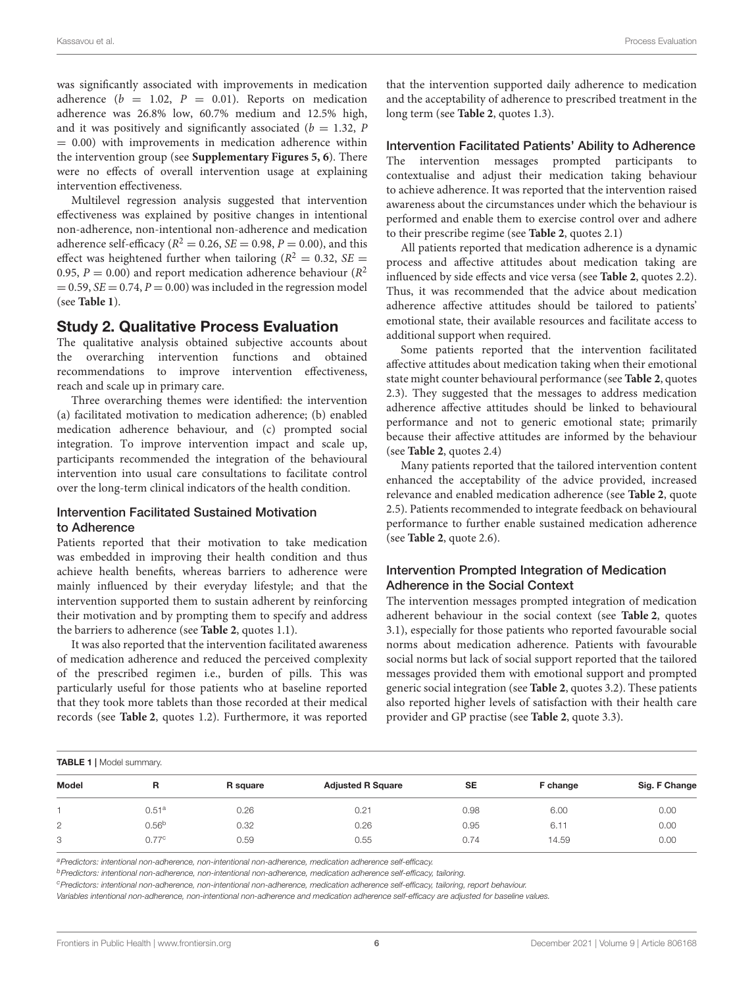was significantly associated with improvements in medication adherence ( $b = 1.02$ ,  $P = 0.01$ ). Reports on medication adherence was 26.8% low, 60.7% medium and 12.5% high, and it was positively and significantly associated ( $b = 1.32$ , P  $= 0.00$ ) with improvements in medication adherence within the intervention group (see **[Supplementary Figures 5, 6](#page-8-0)**). There were no effects of overall intervention usage at explaining intervention effectiveness.

Multilevel regression analysis suggested that intervention effectiveness was explained by positive changes in intentional non-adherence, non-intentional non-adherence and medication adherence self-efficacy ( $R^2 = 0.26$ ,  $SE = 0.98$ ,  $P = 0.00$ ), and this effect was heightened further when tailoring ( $R^2 = 0.32$ , SE = 0.95,  $P = 0.00$ ) and report medication adherence behaviour ( $R^2$  $= 0.59$ ,  $SE = 0.74$ ,  $P = 0.00$ ) was included in the regression model (see **[Table 1](#page-5-0)**).

### Study 2. Qualitative Process Evaluation

The qualitative analysis obtained subjective accounts about the overarching intervention functions and obtained recommendations to improve intervention effectiveness, reach and scale up in primary care.

Three overarching themes were identified: the intervention (a) facilitated motivation to medication adherence; (b) enabled medication adherence behaviour, and (c) prompted social integration. To improve intervention impact and scale up, participants recommended the integration of the behavioural intervention into usual care consultations to facilitate control over the long-term clinical indicators of the health condition.

#### Intervention Facilitated Sustained Motivation to Adherence

Patients reported that their motivation to take medication was embedded in improving their health condition and thus achieve health benefits, whereas barriers to adherence were mainly influenced by their everyday lifestyle; and that the intervention supported them to sustain adherent by reinforcing their motivation and by prompting them to specify and address the barriers to adherence (see **[Table 2](#page-6-0)**, quotes 1.1).

It was also reported that the intervention facilitated awareness of medication adherence and reduced the perceived complexity of the prescribed regimen i.e., burden of pills. This was particularly useful for those patients who at baseline reported that they took more tablets than those recorded at their medical records (see **[Table 2](#page-6-0)**, quotes 1.2). Furthermore, it was reported that the intervention supported daily adherence to medication and the acceptability of adherence to prescribed treatment in the long term (see **[Table 2](#page-6-0)**, quotes 1.3).

#### Intervention Facilitated Patients' Ability to Adherence

The intervention messages prompted participants to contextualise and adjust their medication taking behaviour to achieve adherence. It was reported that the intervention raised awareness about the circumstances under which the behaviour is performed and enable them to exercise control over and adhere to their prescribe regime (see **[Table 2](#page-6-0)**, quotes 2.1)

All patients reported that medication adherence is a dynamic process and affective attitudes about medication taking are influenced by side effects and vice versa (see **[Table 2](#page-6-0)**, quotes 2.2). Thus, it was recommended that the advice about medication adherence affective attitudes should be tailored to patients' emotional state, their available resources and facilitate access to additional support when required.

Some patients reported that the intervention facilitated affective attitudes about medication taking when their emotional state might counter behavioural performance (see **[Table 2](#page-6-0)**, quotes 2.3). They suggested that the messages to address medication adherence affective attitudes should be linked to behavioural performance and not to generic emotional state; primarily because their affective attitudes are informed by the behaviour (see **[Table 2](#page-6-0)**, quotes 2.4)

Many patients reported that the tailored intervention content enhanced the acceptability of the advice provided, increased relevance and enabled medication adherence (see **[Table 2](#page-6-0)**, quote 2.5). Patients recommended to integrate feedback on behavioural performance to further enable sustained medication adherence (see **[Table 2](#page-6-0)**, quote 2.6).

#### Intervention Prompted Integration of Medication Adherence in the Social Context

The intervention messages prompted integration of medication adherent behaviour in the social context (see **[Table 2](#page-6-0)**, quotes 3.1), especially for those patients who reported favourable social norms about medication adherence. Patients with favourable social norms but lack of social support reported that the tailored messages provided them with emotional support and prompted generic social integration (see **[Table 2](#page-6-0)**, quotes 3.2). These patients also reported higher levels of satisfaction with their health care provider and GP practise (see **[Table 2](#page-6-0)**, quote 3.3).

<span id="page-5-0"></span>

| <b>TABLE 1</b>   Model summary. |                   |          |                          |           |          |               |
|---------------------------------|-------------------|----------|--------------------------|-----------|----------|---------------|
| Model                           | R                 | R square | <b>Adjusted R Square</b> | <b>SE</b> | F change | Sig. F Change |
|                                 | 0.51 <sup>a</sup> | 0.26     | 0.21                     | 0.98      | 6.00     | 0.00          |
| 2                               | 0.56 <sup>b</sup> | 0.32     | 0.26                     | 0.95      | 6.11     | 0.00          |
| 3                               | 0.77c             | 0.59     | 0.55                     | 0.74      | 14.59    | 0.00          |

*<sup>a</sup>Predictors: intentional non-adherence, non-intentional non-adherence, medication adherence self-efficacy.*

*<sup>b</sup>Predictors: intentional non-adherence, non-intentional non-adherence, medication adherence self-efficacy, tailoring.*

*<sup>c</sup>Predictors: intentional non-adherence, non-intentional non-adherence, medication adherence self-efficacy, tailoring, report behaviour.*

*Variables intentional non-adherence, non-intentional non-adherence and medication adherence self-efficacy are adjusted for baseline values.*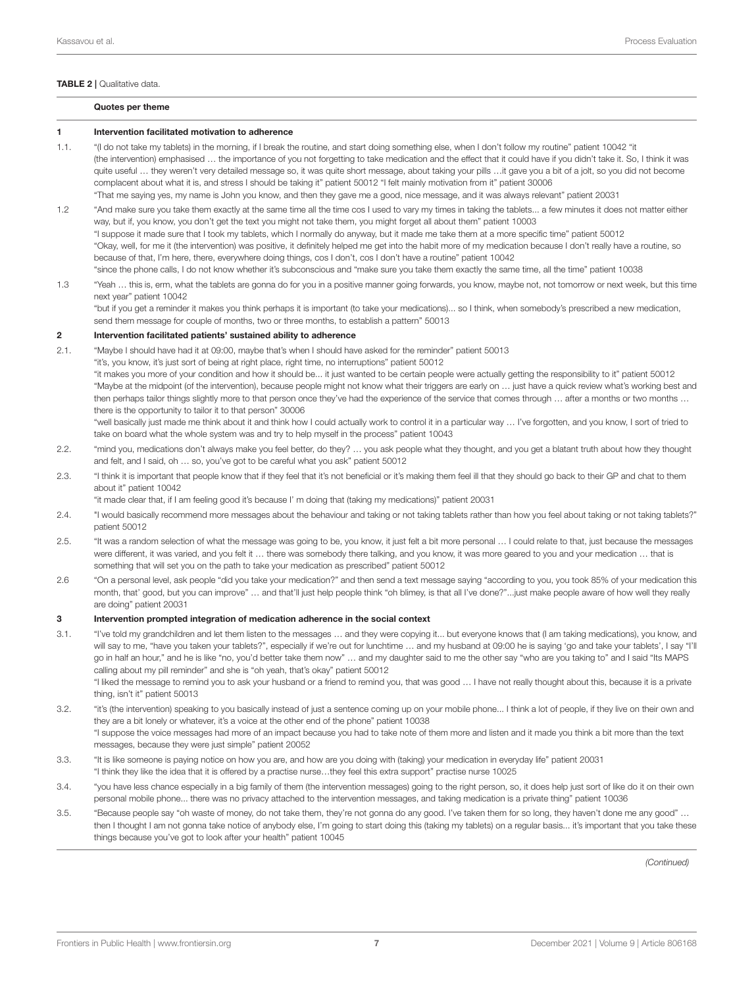#### <span id="page-6-0"></span>TABLE 2 | Qualitative data.

#### Quotes per theme

#### 1 Intervention facilitated motivation to adherence

- 1.1. "(I do not take my tablets) in the morning, if I break the routine, and start doing something else, when I don't follow my routine" patient 10042 "it (the intervention) emphasised … the importance of you not forgetting to take medication and the effect that it could have if you didn't take it. So, I think it was quite useful … they weren't very detailed message so, it was quite short message, about taking your pills …it gave you a bit of a jolt, so you did not become complacent about what it is, and stress I should be taking it" patient 50012 "I felt mainly motivation from it" patient 30006 "That me saying yes, my name is John you know, and then they gave me a good, nice message, and it was always relevant" patient 20031
- 1.2 "And make sure you take them exactly at the same time all the time cos I used to vary my times in taking the tablets... a few minutes it does not matter either way, but if, you know, you don't get the text you might not take them, you might forget all about them" patient 10003 "I suppose it made sure that I took my tablets, which I normally do anyway, but it made me take them at a more specific time" patient 50012 "Okay, well, for me it (the intervention) was positive, it definitely helped me get into the habit more of my medication because I don't really have a routine, so because of that, I'm here, there, everywhere doing things, cos I don't, cos I don't have a routine" patient 10042 "since the phone calls, I do not know whether it's subconscious and "make sure you take them exactly the same time, all the time" patient 10038
- 1.3 "Yeah … this is, erm, what the tablets are gonna do for you in a positive manner going forwards, you know, maybe not, not tomorrow or next week, but this time next year" patient 10042 "but if you get a reminder it makes you think perhaps it is important (to take your medications)... so I think, when somebody's prescribed a new medication,

send them message for couple of months, two or three months, to establish a pattern" 50013

#### 2 Intervention facilitated patients' sustained ability to adherence

- 2.1. "Maybe I should have had it at 09:00, maybe that's when I should have asked for the reminder" patient 50013
	- "it's, you know, it's just sort of being at right place, right time, no interruptions" patient 50012

"it makes you more of your condition and how it should be... it just wanted to be certain people were actually getting the responsibility to it" patient 50012 "Maybe at the midpoint (of the intervention), because people might not know what their triggers are early on … just have a quick review what's working best and then perhaps tailor things slightly more to that person once they've had the experience of the service that comes through … after a months or two months … there is the opportunity to tailor it to that person" 30006

"well basically just made me think about it and think how I could actually work to control it in a particular way … I've forgotten, and you know, I sort of tried to take on board what the whole system was and try to help myself in the process" patient 10043

- 2.2. "mind you, medications don't always make you feel better, do they? … you ask people what they thought, and you get a blatant truth about how they thought and felt, and I said, oh … so, you've got to be careful what you ask" patient 50012
- 2.3. "I think it is important that people know that if they feel that it's not beneficial or it's making them feel ill that they should go back to their GP and chat to them about it" patient 10042

"it made clear that, if I am feeling good it's because I' m doing that (taking my medications)" patient 20031

- 2.4. "I would basically recommend more messages about the behaviour and taking or not taking tablets rather than how you feel about taking or not taking tablets?" patient 50012
- 2.5. "It was a random selection of what the message was going to be, you know, it just felt a bit more personal … I could relate to that, just because the messages were different, it was varied, and you felt it … there was somebody there talking, and you know, it was more geared to you and your medication … that is something that will set you on the path to take your medication as prescribed" patient 50012
- 2.6 "On a personal level, ask people "did you take your medication?" and then send a text message saying "according to you, you took 85% of your medication this month, that' good, but you can improve" … and that'll just help people think "oh blimey, is that all I've done?"...just make people aware of how well they really are doing" patient 20031

#### 3 Intervention prompted integration of medication adherence in the social context

3.1. "I've told my grandchildren and let them listen to the messages … and they were copying it... but everyone knows that (I am taking medications), you know, and will say to me, "have you taken your tablets?", especially if we're out for lunchtime ... and my husband at 09:00 he is saying 'go and take your tablets', I say "I'll go in half an hour," and he is like "no, you'd better take them now" … and my daughter said to me the other say "who are you taking to" and I said "Its MAPS calling about my pill reminder" and she is "oh yeah, that's okay" patient 50012

"I liked the message to remind you to ask your husband or a friend to remind you, that was good … I have not really thought about this, because it is a private thing, isn't it" patient 50013

- 3.2. "it's (the intervention) speaking to you basically instead of just a sentence coming up on your mobile phone... I think a lot of people, if they live on their own and they are a bit lonely or whatever, it's a voice at the other end of the phone" patient 10038 "I suppose the voice messages had more of an impact because you had to take note of them more and listen and it made you think a bit more than the text messages, because they were just simple" patient 20052
- 3.3. "It is like someone is paying notice on how you are, and how are you doing with (taking) your medication in everyday life" patient 20031 "I think they like the idea that it is offered by a practise nurse…they feel this extra support" practise nurse 10025
- 3.4. "you have less chance especially in a big family of them (the intervention messages) going to the right person, so, it does help just sort of like do it on their own personal mobile phone... there was no privacy attached to the intervention messages, and taking medication is a private thing" patient 10036
- 3.5. "Because people say "oh waste of money, do not take them, they're not gonna do any good. I've taken them for so long, they haven't done me any good" … then I thought I am not gonna take notice of anybody else, I'm going to start doing this (taking my tablets) on a regular basis... it's important that you take these things because you've got to look after your health" patient 10045

*(Continued)*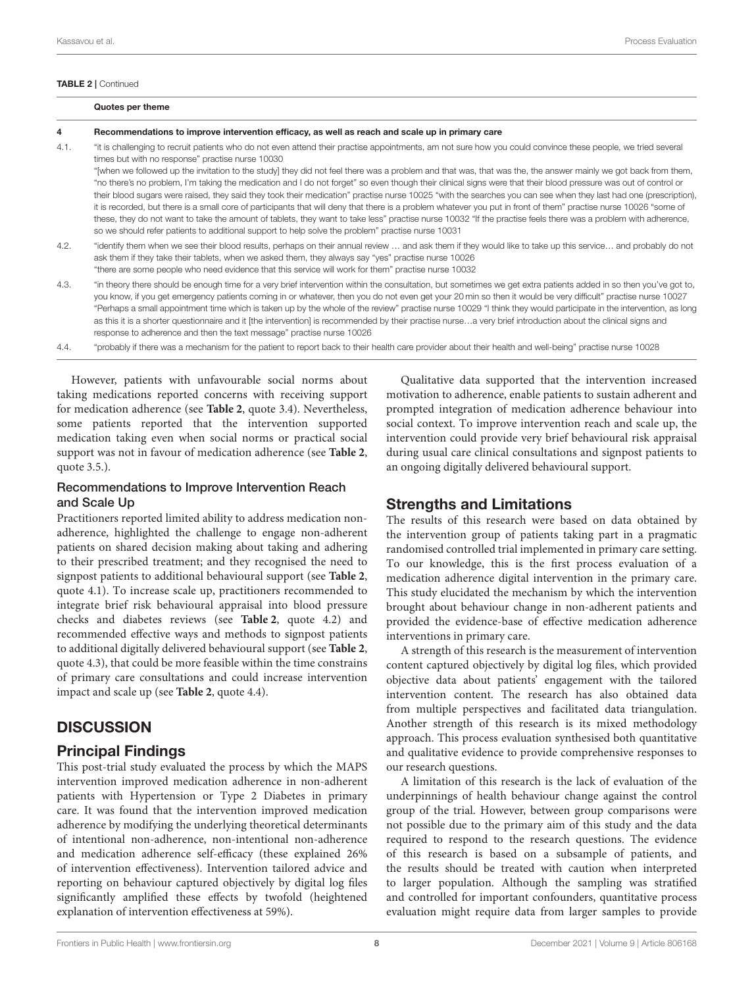#### TABLE 2 | Continued

|      | Quotes per theme                                                                                                                                                                                                                                                                                                                                                                                                                                                                                                                                                                                                                                                                                                                                                                                                                                                                                                                                 |
|------|--------------------------------------------------------------------------------------------------------------------------------------------------------------------------------------------------------------------------------------------------------------------------------------------------------------------------------------------------------------------------------------------------------------------------------------------------------------------------------------------------------------------------------------------------------------------------------------------------------------------------------------------------------------------------------------------------------------------------------------------------------------------------------------------------------------------------------------------------------------------------------------------------------------------------------------------------|
| 4    | Recommendations to improve intervention efficacy, as well as reach and scale up in primary care                                                                                                                                                                                                                                                                                                                                                                                                                                                                                                                                                                                                                                                                                                                                                                                                                                                  |
| 4.1. | "it is challenging to recruit patients who do not even attend their practise appointments, am not sure how you could convince these people, we tried several<br>times but with no response" practise nurse 10030                                                                                                                                                                                                                                                                                                                                                                                                                                                                                                                                                                                                                                                                                                                                 |
|      | "[when we followed up the invitation to the study] they did not feel there was a problem and that was, that was the, the answer mainly we got back from them,<br>"no there's no problem, I'm taking the medication and I do not forget" so even though their clinical signs were that their blood pressure was out of control or<br>their blood sugars were raised, they said they took their medication" practise nurse 10025 "with the searches you can see when they last had one (prescription).<br>it is recorded, but there is a small core of participants that will deny that there is a problem whatever you put in front of them" practise nurse 10026 "some of<br>these, they do not want to take the amount of tablets, they want to take less" practise nurse 10032 "If the practise feels there was a problem with adherence,<br>so we should refer patients to additional support to help solve the problem" practise nurse 10031 |
| 4.2. | "identify them when we see their blood results, perhaps on their annual review  and ask them if they would like to take up this service and probably do not<br>ask them if they take their tablets, when we asked them, they always say "yes" practise nurse 10026<br>"there are some people who need evidence that this service will work for them" practise nurse 10032                                                                                                                                                                                                                                                                                                                                                                                                                                                                                                                                                                        |
| 4.3. | "in theory there should be enough time for a very brief intervention within the consultation, but sometimes we get extra patients added in so then you've got to,                                                                                                                                                                                                                                                                                                                                                                                                                                                                                                                                                                                                                                                                                                                                                                                |

- 4.3. "in theory there should be enough time for a very brief intervention within the consultation, but sometimes we get extra patients added in so then you've got to, you know, if you get emergency patients coming in or whatever, then you do not even get your 20 min so then it would be very difficult" practise nurse 10027 "Perhaps a small appointment time which is taken up by the whole of the review" practise nurse 10029 "I think they would participate in the intervention, as long as this it is a shorter questionnaire and it [the intervention] is recommended by their practise nurse…a very brief introduction about the clinical signs and response to adherence and then the text message" practise nurse 10026
- 4.4. "probably if there was a mechanism for the patient to report back to their health care provider about their health and well-being" practise nurse 10028

However, patients with unfavourable social norms about taking medications reported concerns with receiving support for medication adherence (see **[Table 2](#page-6-0)**, quote 3.4). Nevertheless, some patients reported that the intervention supported medication taking even when social norms or practical social support was not in favour of medication adherence (see **[Table 2](#page-6-0)**, quote 3.5.).

### Recommendations to Improve Intervention Reach and Scale Up

Practitioners reported limited ability to address medication nonadherence, highlighted the challenge to engage non-adherent patients on shared decision making about taking and adhering to their prescribed treatment; and they recognised the need to signpost patients to additional behavioural support (see **[Table 2](#page-6-0)**, quote 4.1). To increase scale up, practitioners recommended to integrate brief risk behavioural appraisal into blood pressure checks and diabetes reviews (see **[Table 2](#page-6-0)**, quote 4.2) and recommended effective ways and methods to signpost patients to additional digitally delivered behavioural support (see **[Table 2](#page-6-0)**, quote 4.3), that could be more feasible within the time constrains of primary care consultations and could increase intervention impact and scale up (see **[Table 2](#page-6-0)**, quote 4.4).

# **DISCUSSION**

# Principal Findings

This post-trial study evaluated the process by which the MAPS intervention improved medication adherence in non-adherent patients with Hypertension or Type 2 Diabetes in primary care. It was found that the intervention improved medication adherence by modifying the underlying theoretical determinants of intentional non-adherence, non-intentional non-adherence and medication adherence self-efficacy (these explained 26% of intervention effectiveness). Intervention tailored advice and reporting on behaviour captured objectively by digital log files significantly amplified these effects by twofold (heightened explanation of intervention effectiveness at 59%).

Qualitative data supported that the intervention increased motivation to adherence, enable patients to sustain adherent and prompted integration of medication adherence behaviour into social context. To improve intervention reach and scale up, the intervention could provide very brief behavioural risk appraisal during usual care clinical consultations and signpost patients to an ongoing digitally delivered behavioural support.

### Strengths and Limitations

The results of this research were based on data obtained by the intervention group of patients taking part in a pragmatic randomised controlled trial implemented in primary care setting. To our knowledge, this is the first process evaluation of a medication adherence digital intervention in the primary care. This study elucidated the mechanism by which the intervention brought about behaviour change in non-adherent patients and provided the evidence-base of effective medication adherence interventions in primary care.

A strength of this research is the measurement of intervention content captured objectively by digital log files, which provided objective data about patients' engagement with the tailored intervention content. The research has also obtained data from multiple perspectives and facilitated data triangulation. Another strength of this research is its mixed methodology approach. This process evaluation synthesised both quantitative and qualitative evidence to provide comprehensive responses to our research questions.

A limitation of this research is the lack of evaluation of the underpinnings of health behaviour change against the control group of the trial. However, between group comparisons were not possible due to the primary aim of this study and the data required to respond to the research questions. The evidence of this research is based on a subsample of patients, and the results should be treated with caution when interpreted to larger population. Although the sampling was stratified and controlled for important confounders, quantitative process evaluation might require data from larger samples to provide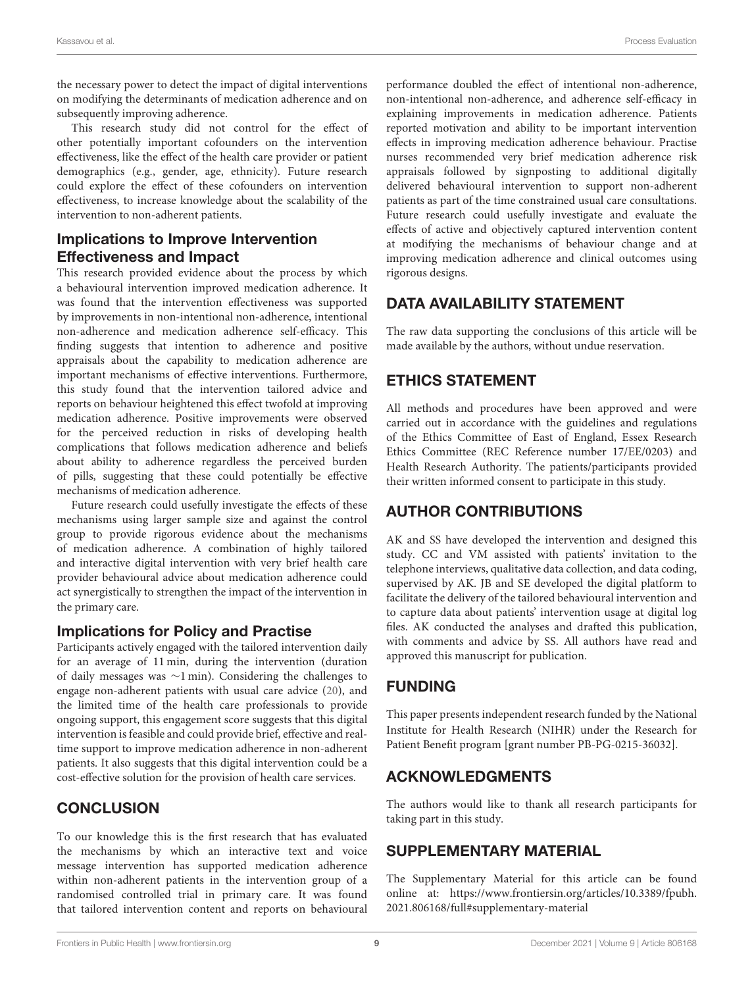the necessary power to detect the impact of digital interventions on modifying the determinants of medication adherence and on subsequently improving adherence.

This research study did not control for the effect of other potentially important cofounders on the intervention effectiveness, like the effect of the health care provider or patient demographics (e.g., gender, age, ethnicity). Future research could explore the effect of these cofounders on intervention effectiveness, to increase knowledge about the scalability of the intervention to non-adherent patients.

### Implications to Improve Intervention Effectiveness and Impact

This research provided evidence about the process by which a behavioural intervention improved medication adherence. It was found that the intervention effectiveness was supported by improvements in non-intentional non-adherence, intentional non-adherence and medication adherence self-efficacy. This finding suggests that intention to adherence and positive appraisals about the capability to medication adherence are important mechanisms of effective interventions. Furthermore, this study found that the intervention tailored advice and reports on behaviour heightened this effect twofold at improving medication adherence. Positive improvements were observed for the perceived reduction in risks of developing health complications that follows medication adherence and beliefs about ability to adherence regardless the perceived burden of pills, suggesting that these could potentially be effective mechanisms of medication adherence.

Future research could usefully investigate the effects of these mechanisms using larger sample size and against the control group to provide rigorous evidence about the mechanisms of medication adherence. A combination of highly tailored and interactive digital intervention with very brief health care provider behavioural advice about medication adherence could act synergistically to strengthen the impact of the intervention in the primary care.

### Implications for Policy and Practise

Participants actively engaged with the tailored intervention daily for an average of 11 min, during the intervention (duration of daily messages was ∼1 min). Considering the challenges to engage non-adherent patients with usual care advice [\(20\)](#page-9-19), and the limited time of the health care professionals to provide ongoing support, this engagement score suggests that this digital intervention is feasible and could provide brief, effective and realtime support to improve medication adherence in non-adherent patients. It also suggests that this digital intervention could be a cost-effective solution for the provision of health care services.

### **CONCLUSION**

To our knowledge this is the first research that has evaluated the mechanisms by which an interactive text and voice message intervention has supported medication adherence within non-adherent patients in the intervention group of a randomised controlled trial in primary care. It was found that tailored intervention content and reports on behavioural performance doubled the effect of intentional non-adherence, non-intentional non-adherence, and adherence self-efficacy in explaining improvements in medication adherence. Patients reported motivation and ability to be important intervention effects in improving medication adherence behaviour. Practise nurses recommended very brief medication adherence risk appraisals followed by signposting to additional digitally delivered behavioural intervention to support non-adherent patients as part of the time constrained usual care consultations. Future research could usefully investigate and evaluate the effects of active and objectively captured intervention content at modifying the mechanisms of behaviour change and at improving medication adherence and clinical outcomes using rigorous designs.

# DATA AVAILABILITY STATEMENT

The raw data supporting the conclusions of this article will be made available by the authors, without undue reservation.

# ETHICS STATEMENT

All methods and procedures have been approved and were carried out in accordance with the guidelines and regulations of the Ethics Committee of East of England, Essex Research Ethics Committee (REC Reference number 17/EE/0203) and Health Research Authority. The patients/participants provided their written informed consent to participate in this study.

# AUTHOR CONTRIBUTIONS

AK and SS have developed the intervention and designed this study. CC and VM assisted with patients' invitation to the telephone interviews, qualitative data collection, and data coding, supervised by AK. JB and SE developed the digital platform to facilitate the delivery of the tailored behavioural intervention and to capture data about patients' intervention usage at digital log files. AK conducted the analyses and drafted this publication, with comments and advice by SS. All authors have read and approved this manuscript for publication.

# FUNDING

This paper presents independent research funded by the National Institute for Health Research (NIHR) under the Research for Patient Benefit program [grant number PB-PG-0215-36032].

# ACKNOWLEDGMENTS

The authors would like to thank all research participants for taking part in this study.

# SUPPLEMENTARY MATERIAL

<span id="page-8-0"></span>The Supplementary Material for this article can be found [online at: https://www.frontiersin.org/articles/10.3389/fpubh.](https://www.frontiersin.org/articles/10.3389/fpubh.2021.806168/full#supplementary-material) 2021.806168/full#supplementary-material